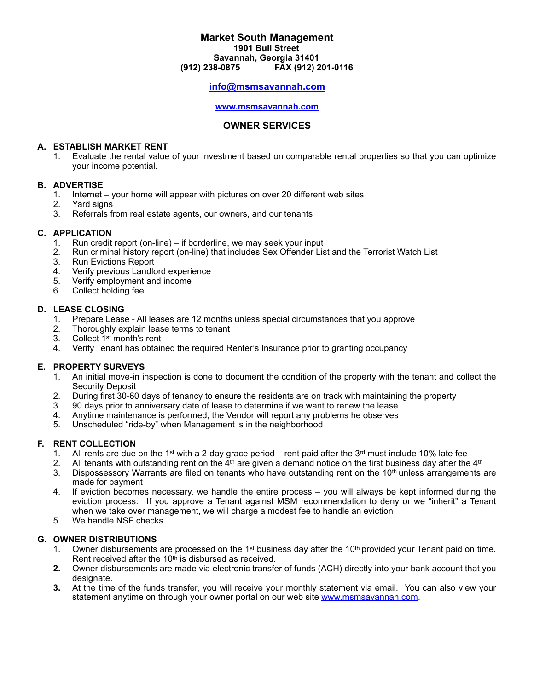## **Market South Management 1901 Bull Street Savannah, Georgia 31401 (912) 238-0875 FAX (912) 201-0116**

# **info@msmsavannah.com**

#### **www.msmsavannah.com**

#### **OWNER SERVICES**

#### **A. ESTABLISH MARKET RENT**

1. Evaluate the rental value of your investment based on comparable rental properties so that you can optimize your income potential.

#### **B. ADVERTISE**

- 1. Internet your home will appear with pictures on over 20 different web sites
- 2. Yard signs
- 3. Referrals from real estate agents, our owners, and our tenants

## **C. APPLICATION**

- 1. Run credit report (on-line) if borderline, we may seek your input
- 2. Run criminal history report (on-line) that includes Sex Offender List and the Terrorist Watch List
- 3. Run Evictions Report
- 4. Verify previous Landlord experience
- 5. Verify employment and income<br>6. Collect holding fee
- Collect holding fee

## **D. LEASE CLOSING**

- 1. Prepare Lease All leases are 12 months unless special circumstances that you approve
- 2. Thoroughly explain lease terms to tenant
- 3. Collect 1st month's rent
- 4. Verify Tenant has obtained the required Renter's Insurance prior to granting occupancy

## **E. PROPERTY SURVEYS**

- 1. An initial move-in inspection is done to document the condition of the property with the tenant and collect the Security Deposit
- 2. During first 30-60 days of tenancy to ensure the residents are on track with maintaining the property 3. 90 days prior to anniversary date of lease to determine if we want to renew the lease
- 3. 90 days prior to anniversary date of lease to determine if we want to renew the lease
- 4. Anytime maintenance is performed, the Vendor will report any problems he observes
- 5. Unscheduled "ride-by" when Management is in the neighborhood

## **F. RENT COLLECTION**

- 1. All rents are due on the 1<sup>st</sup> with a 2-day grace period rent paid after the  $3<sup>rd</sup>$  must include 10% late fee
- 2. All tenants with outstanding rent on the  $4<sup>th</sup>$  are given a demand notice on the first business day after the  $4<sup>th</sup>$
- 3. Dispossessory Warrants are filed on tenants who have outstanding rent on the 10<sup>th</sup> unless arrangements are made for payment
- 4. If eviction becomes necessary, we handle the entire process you will always be kept informed during the eviction process. If you approve a Tenant against MSM recommendation to deny or we "inherit" a Tenant when we take over management, we will charge a modest fee to handle an eviction
- 5. We handle NSF checks

## **G. OWNER DISTRIBUTIONS**

- 1. Owner disbursements are processed on the  $1<sup>st</sup>$  business day after the  $10<sup>th</sup>$  provided your Tenant paid on time. Rent received after the 10<sup>th</sup> is disbursed as received.
- **2.** Owner disbursements are made via electronic transfer of funds (ACH) directly into your bank account that you designate.
- **3.** At the time of the funds transfer, you will receive your monthly statement via email. You can also view your statement anytime on through your owner portal on our web site [www.msmsavannah.com](http://www.msmsavannah.com).